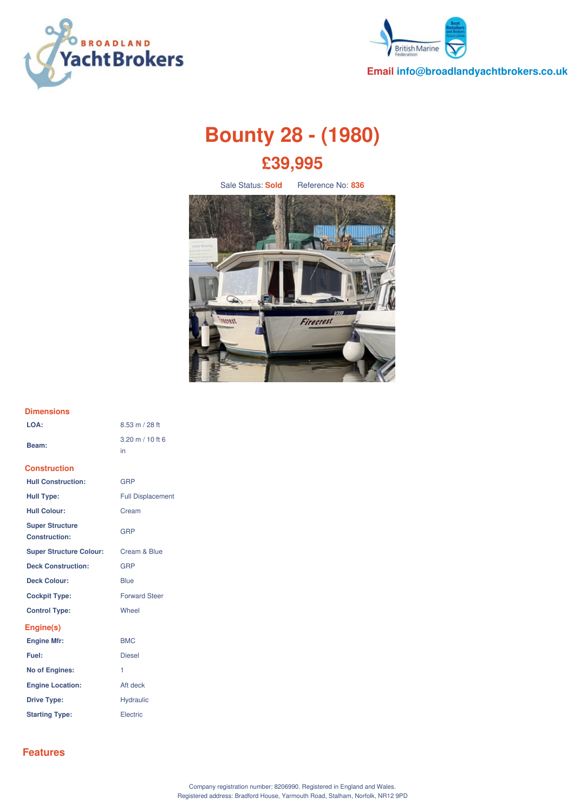



**Email info@broadlandyachtbrokers.co.uk**

# **Bounty 28 - (1980) £39,995**

Sale Status: **Sold** Reference No: 836



## **Dimensions**

| LOA:                                           | 8.53 m / 28 ft                           |
|------------------------------------------------|------------------------------------------|
| Beam:                                          | $3.20 \text{ m} / 10 \text{ ft} 6$<br>in |
| <b>Construction</b>                            |                                          |
| <b>Hull Construction:</b>                      | GRP                                      |
| <b>Hull Type:</b>                              | <b>Full Displacement</b>                 |
| <b>Hull Colour:</b>                            | Cream                                    |
| <b>Super Structure</b><br><b>Construction:</b> | GRP                                      |
| <b>Super Structure Colour:</b>                 | Cream & Blue                             |
| <b>Deck Construction:</b>                      | GRP                                      |
| <b>Deck Colour:</b>                            | Blue                                     |
| <b>Cockpit Type:</b>                           | <b>Forward Steer</b>                     |
| <b>Control Type:</b>                           | Wheel                                    |
| Engine(s)                                      |                                          |
| <b>Engine Mfr:</b>                             | <b>BMC</b>                               |
| Fuel:                                          | <b>Diesel</b>                            |
| <b>No of Engines:</b>                          | 1                                        |
| <b>Engine Location:</b>                        | Aft deck                                 |
| <b>Drive Type:</b>                             | <b>Hydraulic</b>                         |
| <b>Starting Type:</b>                          | Electric                                 |

## **Features**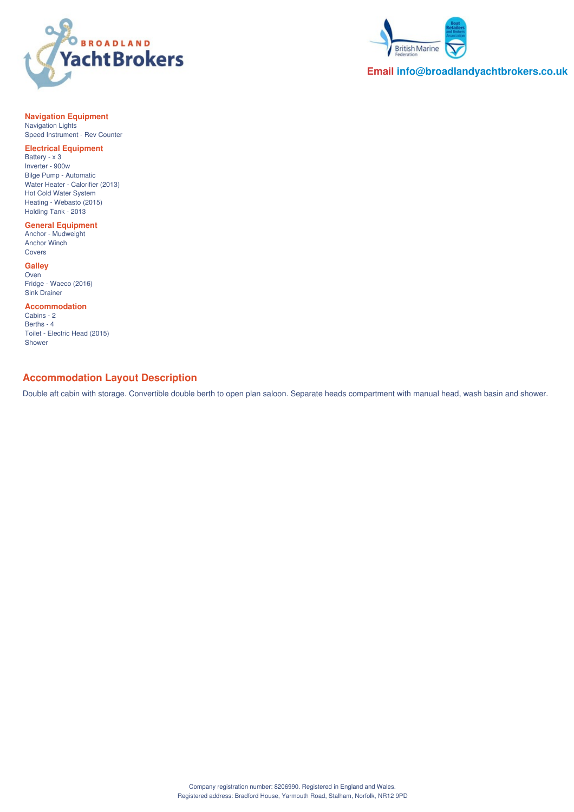



**Email info@broadlandyachtbrokers.co.uk**

## **Navigation Equipment**

Navigation Lights Speed Instrument - Rev Counter

#### **Electrical Equipment**

Battery - x 3 Inverter - 900w Bilge Pump - Automatic Water Heater - Calorifier (2013) Hot Cold Water System Heating - Webasto (2015) Holding Tank - 2013

#### **General Equipment**

Anchor - Mudweight Anchor Winch Covers

#### **Galley**

Oven Fridge - Waeco (2016) Sink Drainer

#### **Accommodation**

Cabins - 2 Berths - 4 Toilet - Electric Head (2015) Shower

## **Accommodation Layout Description**

Double aft cabin with storage. Convertible double berth to open plan saloon. Separate heads compartment with manual head, wash basin and shower.